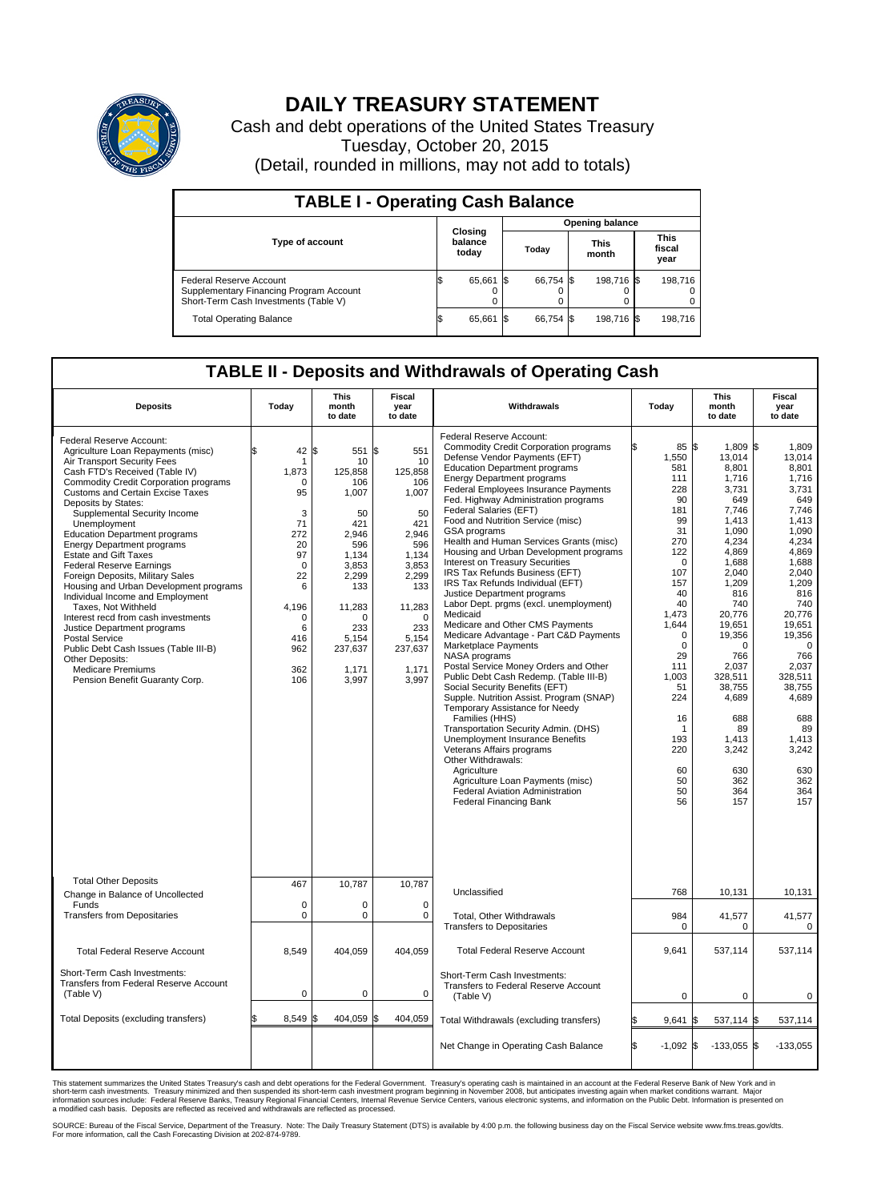

## **DAILY TREASURY STATEMENT**

Cash and debt operations of the United States Treasury Tuesday, October 20, 2015 (Detail, rounded in millions, may not add to totals)

| <b>TABLE I - Operating Cash Balance</b>                                                                     |  |                             |  |                        |  |                      |  |                               |  |  |  |
|-------------------------------------------------------------------------------------------------------------|--|-----------------------------|--|------------------------|--|----------------------|--|-------------------------------|--|--|--|
|                                                                                                             |  |                             |  | <b>Opening balance</b> |  |                      |  |                               |  |  |  |
| <b>Type of account</b>                                                                                      |  | Closing<br>balance<br>today |  | Today                  |  | <b>This</b><br>month |  | <b>This</b><br>fiscal<br>year |  |  |  |
| Federal Reserve Account<br>Supplementary Financing Program Account<br>Short-Term Cash Investments (Table V) |  | 65,661                      |  | 66.754 \$              |  | 198.716 \$           |  | 198.716                       |  |  |  |
| <b>Total Operating Balance</b>                                                                              |  | 65,661                      |  | 66.754 \$              |  | 198,716 \$           |  | 198,716                       |  |  |  |

## **TABLE II - Deposits and Withdrawals of Operating Cash**

| <b>Deposits</b>                                                                                                                                                                                                                                                                                                                                                                                                                                                                                                                                                                                                                                                                                                                                                                                              | Today                                                                                                                                            | <b>This</b><br>month<br>to date                                                                                                                                                  | <b>Fiscal</b><br>year<br>to date                                                                                                                                          | Withdrawals                                                                                                                                                                                                                                                                                                                                                                                                                                                                                                                                                                                                                                                                                                                                                                                                                                                                                                                                                                                                                                                                                                                                                                                                                                            | Today                                                                                                                                                                                                                                                                   | This<br>month<br>to date                                                                                                                                                                                                                                                               | <b>Fiscal</b><br>year<br>to date                                                                                                                                                                                                                                                              |  |  |
|--------------------------------------------------------------------------------------------------------------------------------------------------------------------------------------------------------------------------------------------------------------------------------------------------------------------------------------------------------------------------------------------------------------------------------------------------------------------------------------------------------------------------------------------------------------------------------------------------------------------------------------------------------------------------------------------------------------------------------------------------------------------------------------------------------------|--------------------------------------------------------------------------------------------------------------------------------------------------|----------------------------------------------------------------------------------------------------------------------------------------------------------------------------------|---------------------------------------------------------------------------------------------------------------------------------------------------------------------------|--------------------------------------------------------------------------------------------------------------------------------------------------------------------------------------------------------------------------------------------------------------------------------------------------------------------------------------------------------------------------------------------------------------------------------------------------------------------------------------------------------------------------------------------------------------------------------------------------------------------------------------------------------------------------------------------------------------------------------------------------------------------------------------------------------------------------------------------------------------------------------------------------------------------------------------------------------------------------------------------------------------------------------------------------------------------------------------------------------------------------------------------------------------------------------------------------------------------------------------------------------|-------------------------------------------------------------------------------------------------------------------------------------------------------------------------------------------------------------------------------------------------------------------------|----------------------------------------------------------------------------------------------------------------------------------------------------------------------------------------------------------------------------------------------------------------------------------------|-----------------------------------------------------------------------------------------------------------------------------------------------------------------------------------------------------------------------------------------------------------------------------------------------|--|--|
| Federal Reserve Account:<br>Agriculture Loan Repayments (misc)<br>Air Transport Security Fees<br>Cash FTD's Received (Table IV)<br><b>Commodity Credit Corporation programs</b><br><b>Customs and Certain Excise Taxes</b><br>Deposits by States:<br>Supplemental Security Income<br>Unemployment<br><b>Education Department programs</b><br><b>Energy Department programs</b><br><b>Estate and Gift Taxes</b><br><b>Federal Reserve Earnings</b><br>Foreign Deposits, Military Sales<br>Housing and Urban Development programs<br>Individual Income and Employment<br>Taxes, Not Withheld<br>Interest recd from cash investments<br>Justice Department programs<br><b>Postal Service</b><br>Public Debt Cash Issues (Table III-B)<br>Other Deposits:<br>Medicare Premiums<br>Pension Benefit Guaranty Corp. | \$<br>42<br>-1<br>1,873<br>0<br>95<br>3<br>71<br>272<br>20<br>97<br>$\Omega$<br>22<br>6<br>4,196<br>$\mathbf 0$<br>6<br>416<br>962<br>362<br>106 | l\$<br>551 \$<br>10<br>125,858<br>106<br>1,007<br>50<br>421<br>2,946<br>596<br>1,134<br>3.853<br>2,299<br>133<br>11,283<br>$\Omega$<br>233<br>5,154<br>237,637<br>1,171<br>3,997 | 551<br>10<br>125,858<br>106<br>1,007<br>50<br>421<br>2,946<br>596<br>1,134<br>3.853<br>2,299<br>133<br>11,283<br>$\mathbf 0$<br>233<br>5,154<br>237,637<br>1,171<br>3,997 | Federal Reserve Account:<br><b>Commodity Credit Corporation programs</b><br>Defense Vendor Payments (EFT)<br><b>Education Department programs</b><br><b>Energy Department programs</b><br><b>Federal Employees Insurance Payments</b><br>Fed. Highway Administration programs<br>Federal Salaries (EFT)<br>Food and Nutrition Service (misc)<br><b>GSA</b> programs<br>Health and Human Services Grants (misc)<br>Housing and Urban Development programs<br>Interest on Treasury Securities<br>IRS Tax Refunds Business (EFT)<br>IRS Tax Refunds Individual (EFT)<br>Justice Department programs<br>Labor Dept. prgms (excl. unemployment)<br>Medicaid<br>Medicare and Other CMS Payments<br>Medicare Advantage - Part C&D Payments<br>Marketplace Payments<br>NASA programs<br>Postal Service Money Orders and Other<br>Public Debt Cash Redemp. (Table III-B)<br>Social Security Benefits (EFT)<br>Supple. Nutrition Assist. Program (SNAP)<br>Temporary Assistance for Needy<br>Families (HHS)<br>Transportation Security Admin. (DHS)<br>Unemployment Insurance Benefits<br>Veterans Affairs programs<br>Other Withdrawals:<br>Agriculture<br>Agriculture Loan Payments (misc)<br>Federal Aviation Administration<br><b>Federal Financing Bank</b> | 85 \$<br>ß.<br>1,550<br>581<br>111<br>228<br>90<br>181<br>99<br>31<br>270<br>122<br>$\mathbf 0$<br>107<br>157<br>40<br>40<br>1,473<br>1,644<br>$\mathbf 0$<br>$\mathbf 0$<br>29<br>111<br>1,003<br>51<br>224<br>16<br>$\mathbf 1$<br>193<br>220<br>60<br>50<br>50<br>56 | 1,809 \$<br>13,014<br>8,801<br>1,716<br>3,731<br>649<br>7.746<br>1,413<br>1,090<br>4,234<br>4,869<br>1,688<br>2.040<br>1,209<br>816<br>740<br>20,776<br>19,651<br>19,356<br>0<br>766<br>2.037<br>328,511<br>38,755<br>4,689<br>688<br>89<br>1.413<br>3,242<br>630<br>362<br>364<br>157 | 1,809<br>13,014<br>8,801<br>1.716<br>3,731<br>649<br>7.746<br>1,413<br>1.090<br>4,234<br>4,869<br>1,688<br>2.040<br>1,209<br>816<br>740<br>20,776<br>19,651<br>19,356<br>$\mathbf 0$<br>766<br>2,037<br>328,511<br>38,755<br>4,689<br>688<br>89<br>1.413<br>3,242<br>630<br>362<br>364<br>157 |  |  |
| <b>Total Other Deposits</b>                                                                                                                                                                                                                                                                                                                                                                                                                                                                                                                                                                                                                                                                                                                                                                                  | 467                                                                                                                                              | 10,787                                                                                                                                                                           | 10,787                                                                                                                                                                    |                                                                                                                                                                                                                                                                                                                                                                                                                                                                                                                                                                                                                                                                                                                                                                                                                                                                                                                                                                                                                                                                                                                                                                                                                                                        |                                                                                                                                                                                                                                                                         |                                                                                                                                                                                                                                                                                        |                                                                                                                                                                                                                                                                                               |  |  |
| Change in Balance of Uncollected<br>Funds                                                                                                                                                                                                                                                                                                                                                                                                                                                                                                                                                                                                                                                                                                                                                                    | $\mathbf 0$                                                                                                                                      | 0                                                                                                                                                                                | $\mathbf 0$                                                                                                                                                               | Unclassified                                                                                                                                                                                                                                                                                                                                                                                                                                                                                                                                                                                                                                                                                                                                                                                                                                                                                                                                                                                                                                                                                                                                                                                                                                           | 768                                                                                                                                                                                                                                                                     | 10,131                                                                                                                                                                                                                                                                                 | 10,131                                                                                                                                                                                                                                                                                        |  |  |
| <b>Transfers from Depositaries</b>                                                                                                                                                                                                                                                                                                                                                                                                                                                                                                                                                                                                                                                                                                                                                                           | $\mathbf 0$                                                                                                                                      | 0                                                                                                                                                                                | $\mathbf 0$                                                                                                                                                               | Total, Other Withdrawals<br><b>Transfers to Depositaries</b>                                                                                                                                                                                                                                                                                                                                                                                                                                                                                                                                                                                                                                                                                                                                                                                                                                                                                                                                                                                                                                                                                                                                                                                           | 984<br>$\mathbf 0$                                                                                                                                                                                                                                                      | 41,577<br>0                                                                                                                                                                                                                                                                            | 41,577<br>$\mathbf 0$                                                                                                                                                                                                                                                                         |  |  |
| <b>Total Federal Reserve Account</b>                                                                                                                                                                                                                                                                                                                                                                                                                                                                                                                                                                                                                                                                                                                                                                         | 8,549                                                                                                                                            | 404,059                                                                                                                                                                          | 404,059                                                                                                                                                                   | <b>Total Federal Reserve Account</b>                                                                                                                                                                                                                                                                                                                                                                                                                                                                                                                                                                                                                                                                                                                                                                                                                                                                                                                                                                                                                                                                                                                                                                                                                   | 9,641                                                                                                                                                                                                                                                                   | 537,114                                                                                                                                                                                                                                                                                | 537,114                                                                                                                                                                                                                                                                                       |  |  |
| Short-Term Cash Investments:<br>Transfers from Federal Reserve Account<br>(Table V)                                                                                                                                                                                                                                                                                                                                                                                                                                                                                                                                                                                                                                                                                                                          | $\pmb{0}$                                                                                                                                        | 0                                                                                                                                                                                | 0                                                                                                                                                                         | Short-Term Cash Investments:<br>Transfers to Federal Reserve Account<br>(Table V)                                                                                                                                                                                                                                                                                                                                                                                                                                                                                                                                                                                                                                                                                                                                                                                                                                                                                                                                                                                                                                                                                                                                                                      | $\mathbf 0$                                                                                                                                                                                                                                                             | $\mathbf 0$                                                                                                                                                                                                                                                                            | 0                                                                                                                                                                                                                                                                                             |  |  |
| Total Deposits (excluding transfers)                                                                                                                                                                                                                                                                                                                                                                                                                                                                                                                                                                                                                                                                                                                                                                         | 8,549                                                                                                                                            | 404,059                                                                                                                                                                          | S.<br>404,059                                                                                                                                                             | Total Withdrawals (excluding transfers)                                                                                                                                                                                                                                                                                                                                                                                                                                                                                                                                                                                                                                                                                                                                                                                                                                                                                                                                                                                                                                                                                                                                                                                                                | 9,641                                                                                                                                                                                                                                                                   | 537,114 \$<br>I\$                                                                                                                                                                                                                                                                      | 537,114                                                                                                                                                                                                                                                                                       |  |  |
|                                                                                                                                                                                                                                                                                                                                                                                                                                                                                                                                                                                                                                                                                                                                                                                                              |                                                                                                                                                  |                                                                                                                                                                                  |                                                                                                                                                                           | Net Change in Operating Cash Balance                                                                                                                                                                                                                                                                                                                                                                                                                                                                                                                                                                                                                                                                                                                                                                                                                                                                                                                                                                                                                                                                                                                                                                                                                   | l\$<br>$-1,092$ \$                                                                                                                                                                                                                                                      | $-133,055$ \$                                                                                                                                                                                                                                                                          | $-133,055$                                                                                                                                                                                                                                                                                    |  |  |

This statement summarizes the United States Treasury's cash and debt operations for the Federal Government. Treasury's operating cash is maintained in an account at the Federal Reserve Bank of New York and in<br>short-term ca

SOURCE: Bureau of the Fiscal Service, Department of the Treasury. Note: The Daily Treasury Statement (DTS) is available by 4:00 p.m. the following business day on the Fiscal Service website www.fms.treas.gov/dts.<br>For more